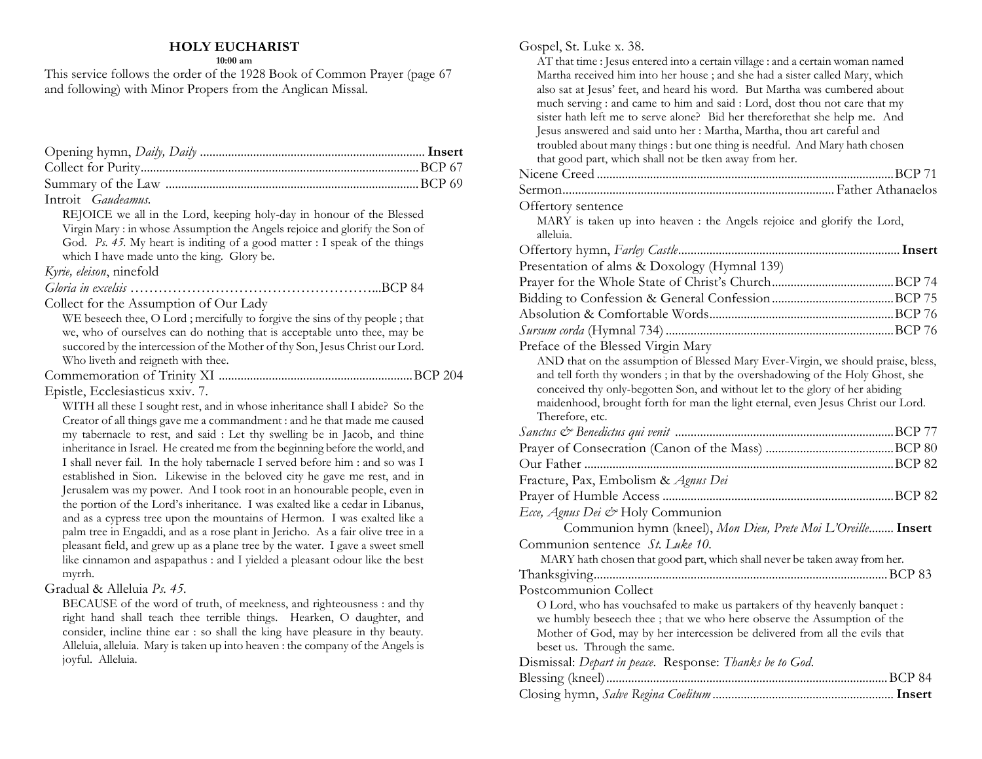### **HOLY EUCHARIST**

**10:00 am**

This service follows the order of the 1928 Book of Common Prayer (page 67 and following) with Minor Propers from the Anglican Missal.

| Introit Gaudeamus.                                                                                                                                         |  |
|------------------------------------------------------------------------------------------------------------------------------------------------------------|--|
| REJOICE we all in the Lord, keeping holy-day in honour of the Blessed                                                                                      |  |
| Virgin Mary: in whose Assumption the Angels rejoice and glorify the Son of                                                                                 |  |
| God. Ps. 45. My heart is inditing of a good matter : I speak of the things                                                                                 |  |
| which I have made unto the king. Glory be.                                                                                                                 |  |
| Kyrie, eleison, ninefold                                                                                                                                   |  |
|                                                                                                                                                            |  |
| Collect for the Assumption of Our Lady                                                                                                                     |  |
| WE beseech thee, O Lord; mercifully to forgive the sins of thy people; that                                                                                |  |
| we, who of ourselves can do nothing that is acceptable unto thee, may be                                                                                   |  |
| succored by the intercession of the Mother of thy Son, Jesus Christ our Lord.                                                                              |  |
| Who liveth and reigneth with thee.                                                                                                                         |  |
|                                                                                                                                                            |  |
| Epistle, Ecclesiasticus xxiv. 7.                                                                                                                           |  |
| WITH all these I sought rest, and in whose inheritance shall I abide? So the                                                                               |  |
| Creator of all things gave me a commandment : and he that made me caused                                                                                   |  |
| my tabernacle to rest, and said : Let thy swelling be in Jacob, and thine<br>inheritance in Israel. He created me from the beginning before the world, and |  |
| I shall never fail. In the holy tabernacle I served before him : and so was I                                                                              |  |
| established in Sion. Likewise in the beloved city he gave me rest, and in                                                                                  |  |
| Jerusalem was my power. And I took root in an honourable people, even in                                                                                   |  |
| the portion of the Lord's inheritance. I was exalted like a cedar in Libanus,                                                                              |  |
| and as a cypress tree upon the mountains of Hermon. I was exalted like a                                                                                   |  |
| palm tree in Engaddi, and as a rose plant in Jericho. As a fair olive tree in a                                                                            |  |
| pleasant field, and grew up as a plane tree by the water. I gave a sweet smell                                                                             |  |
| like cinnamon and aspapathus : and I yielded a pleasant odour like the best                                                                                |  |
| myrrh.                                                                                                                                                     |  |
| Gradual & Alleluia Ps. 45.                                                                                                                                 |  |
| BECAUSE of the word of truth, of meekness, and righteousness : and thy<br>ista toda stoff adole atoo admitte atinoo – IIodheen ∧ docctaer ord t            |  |

right hand shall teach thee terrible things. Hearken, O daughter, and consider, incline thine ear : so shall the king have pleasure in thy beauty. Alleluia, alleluia. Mary is taken up into heaven : the company of the Angels is joyful. Alleluia.

#### Gospel, St. Luke x. 38. AT that time : Jesus entered into a certain village : and a certain woman named Martha received him into her house ; and she had a sister called Mary, which also sat at Jesus' feet, and heard his word. But Martha was cumbered about much serving : and came to him and said : Lord, dost thou not care that my sister hath left me to serve alone? Bid her thereforethat she help me. And Jesus answered and said unto her : Martha, Martha, thou art careful and troubled about many things : but one thing is needful. And Mary hath chosen that good part, which shall not be tken away from her. Nicene Creed ...............................................................................................BCP 71 Sermon....................................................................................... Father Athanaelos Offertory sentence MARY is taken up into heaven : the Angels rejoice and glorify the Lord, alleluia. Offertory hymn, *Farley Castle*.......................................................................**Insert** Presentation of alms & Doxology (Hymnal 139) Prayer for the Whole State of Christ's Church.......................................BCP 74 Bidding to Confession & General Confession.......................................BCP 75 Absolution & Comfortable Words...........................................................BCP 76 *Sursum corda* (Hymnal 734) .........................................................................BCP 76 Preface of the Blessed Virgin Mary AND that on the assumption of Blessed Mary Ever-Virgin, we should praise, bless, and tell forth thy wonders ; in that by the overshadowing of the Holy Ghost, she conceived thy only-begotten Son, and without let to the glory of her abiding maidenhood, brought forth for man the light eternal, even Jesus Christ our Lord. Therefore, etc. *Sanctus & Benedictus qui venit* ......................................................................BCP 77 Prayer of Consecration (Canon of the Mass) .........................................BCP 80 Our Father ...................................................................................................BCP 82 Fracture, Pax, Embolism & *Agnus Dei* Prayer of Humble Access ..........................................................................BCP 82 *Ecce, Agnus Dei &* Holy Communion Communion hymn (kneel), *Mon Dieu, Prete Moi L'Oreille*........**Insert** Communion sentence *St. Luke 10.* MARY hath chosen that good part, which shall never be taken away from her. Thanksgiving..............................................................................................BCP 83 Postcommunion Collect O Lord, who has vouchsafed to make us partakers of thy heavenly banquet : we humbly beseech thee ; that we who here observe the Assumption of the Mother of God, may by her intercession be delivered from all the evils that beset us. Through the same. Dismissal: *Depart in peace*. Response: *Thanks be to God*. Blessing (kneel)..........................................................................................BCP 84 Closing hymn, *Salve Regina Coelitum*..........................................................**Insert**